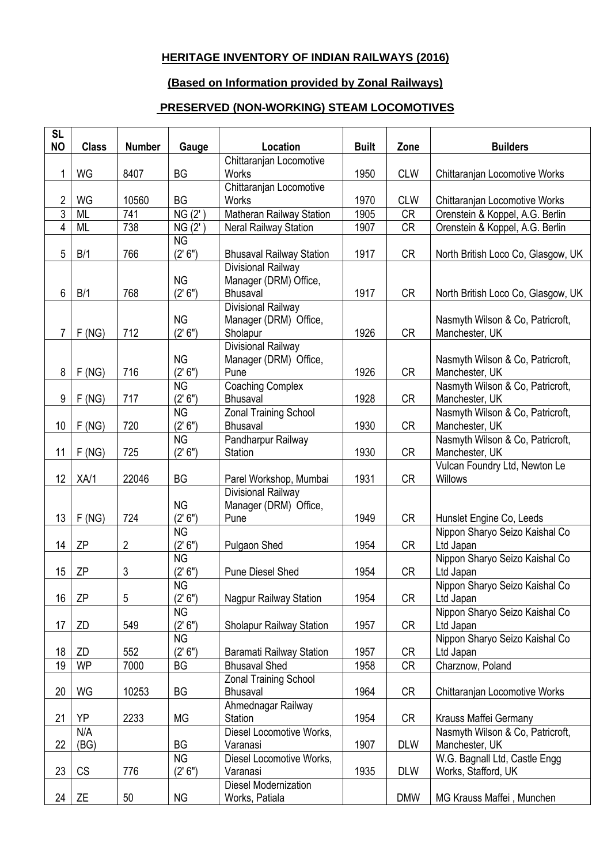## **HERITAGE INVENTORY OF INDIAN RAILWAYS (2016)**

## **(Based on Information provided by Zonal Railways)**

## **PRESERVED (NON-WORKING) STEAM LOCOMOTIVES**

| <b>SL</b><br><b>NO</b> | <b>Class</b> | <b>Number</b> |           | Location                                        | <b>Built</b> | Zone       | <b>Builders</b>                                 |
|------------------------|--------------|---------------|-----------|-------------------------------------------------|--------------|------------|-------------------------------------------------|
|                        |              |               | Gauge     | Chittaranjan Locomotive                         |              |            |                                                 |
| 1                      | WG           | 8407          | <b>BG</b> | <b>Works</b>                                    | 1950         | <b>CLW</b> | Chittaranjan Locomotive Works                   |
|                        |              |               |           | Chittaranjan Locomotive                         |              |            |                                                 |
| 2                      | WG           | 10560         | <b>BG</b> | <b>Works</b>                                    | 1970         | <b>CLW</b> | Chittaranjan Locomotive Works                   |
| $\overline{3}$         | <b>ML</b>    | 741           | NG(2')    | Matheran Railway Station                        | 1905         | CR         | Orenstein & Koppel, A.G. Berlin                 |
| 4                      | <b>ML</b>    | 738           | NG (2'    | Neral Railway Station                           | 1907         | <b>CR</b>  | Orenstein & Koppel, A.G. Berlin                 |
|                        |              |               | <b>NG</b> |                                                 |              |            |                                                 |
| 5                      | B/1          | 766           | (2' 6'')  | <b>Bhusaval Railway Station</b>                 | 1917         | <b>CR</b>  | North British Loco Co, Glasgow, UK              |
|                        |              |               | <b>NG</b> | Divisional Railway<br>Manager (DRM) Office,     |              |            |                                                 |
| 6                      | B/1          | 768           | (2' 6")   | Bhusaval                                        | 1917         | <b>CR</b>  | North British Loco Co, Glasgow, UK              |
|                        |              |               | <b>NG</b> | Divisional Railway<br>Manager (DRM) Office,     |              |            | Nasmyth Wilson & Co, Patricroft,                |
| 7                      | F(NG)        | 712           | (2' 6'')  | Sholapur                                        | 1926         | <b>CR</b>  | Manchester, UK                                  |
|                        |              |               |           | Divisional Railway                              |              |            |                                                 |
|                        |              |               | <b>NG</b> | Manager (DRM) Office,                           |              |            | Nasmyth Wilson & Co, Patricroft,                |
| 8                      | F(NG)        | 716           | (2' 6'')  | Pune                                            | 1926         | <b>CR</b>  | Manchester, UK                                  |
|                        |              |               | <b>NG</b> | <b>Coaching Complex</b>                         |              |            | Nasmyth Wilson & Co, Patricroft,                |
| 9                      | F(NG)        | 717           | (2' 6'')  | <b>Bhusaval</b>                                 | 1928         | <b>CR</b>  | Manchester, UK                                  |
|                        |              |               | <b>NG</b> | <b>Zonal Training School</b>                    |              |            | Nasmyth Wilson & Co, Patricroft,                |
| 10                     | F(NG)        | 720           | (2' 6'')  | Bhusaval                                        | 1930         | <b>CR</b>  | Manchester, UK                                  |
|                        |              |               | <b>NG</b> | Pandharpur Railway                              |              |            | Nasmyth Wilson & Co, Patricroft,                |
| 11                     | F(NG)        | 725           | (2' 6")   | Station                                         | 1930         | CR         | Manchester, UK                                  |
| 12                     | XA/1         | 22046         | <b>BG</b> | Parel Workshop, Mumbai                          | 1931         | <b>CR</b>  | Vulcan Foundry Ltd, Newton Le<br><b>Willows</b> |
|                        |              |               |           | Divisional Railway                              |              |            |                                                 |
|                        |              |               | <b>NG</b> | Manager (DRM) Office,                           |              |            |                                                 |
| 13                     | F(NG)        | 724           | (2' 6'')  | Pune                                            | 1949         | <b>CR</b>  | Hunslet Engine Co, Leeds                        |
|                        |              |               | <b>NG</b> |                                                 |              |            | Nippon Sharyo Seizo Kaishal Co                  |
| 14                     | ZΡ           | 2             | (2' 6'')  | Pulgaon Shed                                    | 1954         | CR         | Ltd Japan                                       |
|                        |              |               | <b>NG</b> |                                                 |              |            | Nippon Sharyo Seizo Kaishal Co                  |
| 15                     | ZΡ           | 3             | (2' 6'')  | <b>Pune Diesel Shed</b>                         | 1954         | <b>CR</b>  | Ltd Japan                                       |
|                        |              |               | <b>NG</b> |                                                 |              |            | Nippon Sharyo Seizo Kaishal Co                  |
| 16                     | ZΡ           | 5             | (2' 6")   | <b>Nagpur Railway Station</b>                   | 1954         | CR         | Ltd Japan                                       |
|                        |              |               | <b>NG</b> |                                                 |              |            | Nippon Sharyo Seizo Kaishal Co                  |
| 17                     | ZD           | 549           | (2' 6'')  | Sholapur Railway Station                        | 1957         | CR         | Ltd Japan                                       |
|                        |              |               | <b>NG</b> |                                                 |              |            | Nippon Sharyo Seizo Kaishal Co                  |
| 18                     | ZD           | 552           | (2' 6'')  | Baramati Railway Station                        | 1957         | CR         | Ltd Japan                                       |
| 19                     | <b>WP</b>    | 7000          | BG        | <b>Bhusaval Shed</b>                            | 1958         | <b>CR</b>  | Charznow, Poland                                |
| 20                     | WG           | 10253         | BG        | <b>Zonal Training School</b><br><b>Bhusaval</b> | 1964         | <b>CR</b>  | Chittaranjan Locomotive Works                   |
|                        |              |               |           | Ahmednagar Railway                              |              |            |                                                 |
| 21                     | YP           | 2233          | <b>MG</b> | Station                                         | 1954         | CR         | Krauss Maffei Germany                           |
|                        | N/A          |               |           | Diesel Locomotive Works,                        |              |            | Nasmyth Wilson & Co, Patricroft,                |
| 22                     | (BG)         |               | <b>BG</b> | Varanasi                                        | 1907         | <b>DLW</b> | Manchester, UK                                  |
|                        |              |               | <b>NG</b> | Diesel Locomotive Works,                        |              |            | W.G. Bagnall Ltd, Castle Engg                   |
| 23                     | CS           | 776           | (2' 6'')  | Varanasi                                        | 1935         | <b>DLW</b> | Works, Stafford, UK                             |
|                        |              |               |           | Diesel Modernization                            |              |            |                                                 |
| 24                     | ΖE           | 50            | <b>NG</b> | Works, Patiala                                  |              | <b>DMW</b> | MG Krauss Maffei, Munchen                       |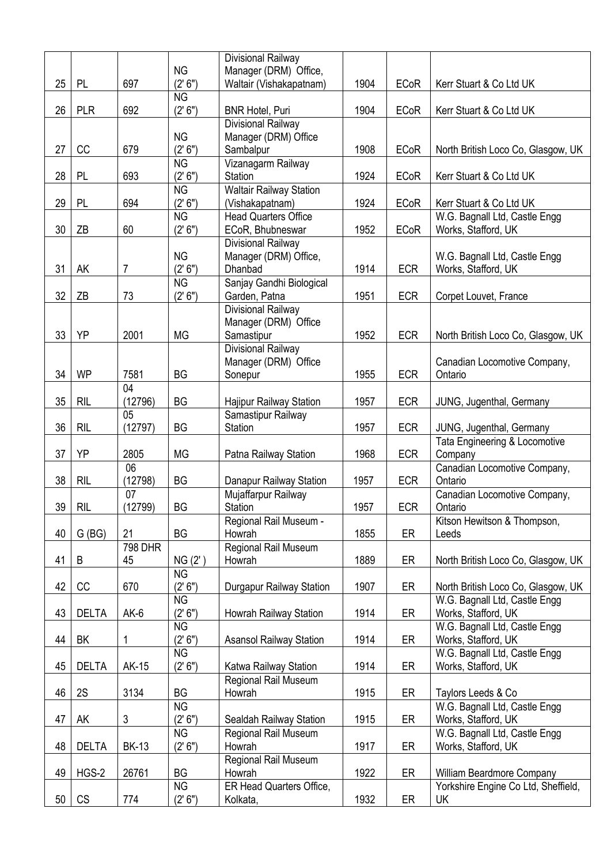|    |              |                |           | Divisional Railway                 |      |             |                                        |
|----|--------------|----------------|-----------|------------------------------------|------|-------------|----------------------------------------|
|    |              |                | <b>NG</b> | Manager (DRM) Office,              |      |             |                                        |
| 25 | <b>PL</b>    | 697            | (2' 6'')  | Waltair (Vishakapatnam)            | 1904 | <b>ECoR</b> | Kerr Stuart & Co Ltd UK                |
|    |              |                | <b>NG</b> |                                    |      |             |                                        |
| 26 | <b>PLR</b>   | 692            | (2' 6'')  | <b>BNR Hotel, Puri</b>             | 1904 | <b>ECoR</b> | Kerr Stuart & Co Ltd UK                |
|    |              |                | <b>NG</b> | Divisional Railway                 |      |             |                                        |
| 27 | CC           | 679            | (2' 6")   | Manager (DRM) Office<br>Sambalpur  | 1908 | <b>ECoR</b> | North British Loco Co, Glasgow, UK     |
|    |              |                | <b>NG</b> | Vizanagarm Railway                 |      |             |                                        |
| 28 | <b>PL</b>    | 693            | (2' 6")   | Station                            | 1924 | <b>ECoR</b> | Kerr Stuart & Co Ltd UK                |
|    |              |                | <b>NG</b> | <b>Waltair Railway Station</b>     |      |             |                                        |
| 29 | PL           | 694            | (2' 6'')  | (Vishakapatnam)                    | 1924 | <b>ECoR</b> | Kerr Stuart & Co Ltd UK                |
|    |              |                | <b>NG</b> | <b>Head Quarters Office</b>        |      |             | W.G. Bagnall Ltd, Castle Engg          |
| 30 | ΖB           | 60             | (2' 6'')  | ECoR, Bhubneswar                   | 1952 | <b>ECoR</b> | Works, Stafford, UK                    |
|    |              |                |           | Divisional Railway                 |      |             |                                        |
|    |              |                | <b>NG</b> | Manager (DRM) Office,              |      |             | W.G. Bagnall Ltd, Castle Engg          |
| 31 | AK           | 7              | (2' 6'')  | Dhanbad                            | 1914 | <b>ECR</b>  | Works, Stafford, UK                    |
|    |              |                | <b>NG</b> | Sanjay Gandhi Biological           |      |             |                                        |
| 32 | ZΒ           | 73             | (2' 6'')  | Garden, Patna                      | 1951 | <b>ECR</b>  | Corpet Louvet, France                  |
|    |              |                |           | Divisional Railway                 |      |             |                                        |
| 33 | YP           | 2001           | <b>MG</b> | Manager (DRM) Office<br>Samastipur | 1952 | <b>ECR</b>  | North British Loco Co, Glasgow, UK     |
|    |              |                |           | Divisional Railway                 |      |             |                                        |
|    |              |                |           | Manager (DRM) Office               |      |             | Canadian Locomotive Company,           |
| 34 | <b>WP</b>    | 7581           | BG        | Sonepur                            | 1955 | <b>ECR</b>  | Ontario                                |
|    |              | 04             |           |                                    |      |             |                                        |
| 35 | <b>RIL</b>   | (12796)        | <b>BG</b> | Hajipur Railway Station            | 1957 | <b>ECR</b>  | JUNG, Jugenthal, Germany               |
|    |              | 05             |           | Samastipur Railway                 |      |             |                                        |
| 36 | <b>RIL</b>   | (12797)        | BG        | Station                            | 1957 | <b>ECR</b>  | JUNG, Jugenthal, Germany               |
|    |              |                |           |                                    |      |             | Tata Engineering & Locomotive          |
| 37 | YP           | 2805           | <b>MG</b> | Patna Railway Station              | 1968 | <b>ECR</b>  | Company                                |
|    |              | 06             |           |                                    |      |             | Canadian Locomotive Company,           |
| 38 | <b>RIL</b>   | (12798)        | BG        | Danapur Railway Station            | 1957 | <b>ECR</b>  | Ontario                                |
| 39 | <b>RIL</b>   | 07<br>(12799)  | BG        | Mujaffarpur Railway<br>Station     | 1957 | <b>ECR</b>  | Canadian Locomotive Company,           |
|    |              |                |           | Regional Rail Museum -             |      |             | Ontario<br>Kitson Hewitson & Thompson, |
| 40 | G(BG)        | 21             | BG        | Howrah                             | 1855 | ER          | Leeds                                  |
|    |              | <b>798 DHR</b> |           | Regional Rail Museum               |      |             |                                        |
| 41 | B            | 45             | NG (2')   | Howrah                             | 1889 | ER          | North British Loco Co, Glasgow, UK     |
|    |              |                | <b>NG</b> |                                    |      |             |                                        |
| 42 | CC           | 670            | (2' 6'')  | Durgapur Railway Station           | 1907 | ER          | North British Loco Co, Glasgow, UK     |
|    |              |                | <b>NG</b> |                                    |      |             | W.G. Bagnall Ltd, Castle Engg          |
| 43 | <b>DELTA</b> | $AK-6$         | (2' 6'')  | Howrah Railway Station             | 1914 | ER          | Works, Stafford, UK                    |
|    |              |                | <b>NG</b> |                                    |      |             | W.G. Bagnall Ltd, Castle Engg          |
| 44 | BK           | 1              | (2' 6'')  | <b>Asansol Railway Station</b>     | 1914 | ER          | Works, Stafford, UK                    |
|    |              |                | <b>NG</b> |                                    |      |             | W.G. Bagnall Ltd, Castle Engg          |
| 45 | <b>DELTA</b> | AK-15          | (2' 6'')  | Katwa Railway Station              | 1914 | ER          | Works, Stafford, UK                    |
| 46 | 2S           | 3134           | <b>BG</b> | Regional Rail Museum<br>Howrah     | 1915 | ER          | Taylors Leeds & Co                     |
|    |              |                | <b>NG</b> |                                    |      |             | W.G. Bagnall Ltd, Castle Engg          |
| 47 | AK           | 3              | (2' 6'')  | Sealdah Railway Station            | 1915 | ER          | Works, Stafford, UK                    |
|    |              |                | <b>NG</b> | Regional Rail Museum               |      |             | W.G. Bagnall Ltd, Castle Engg          |
| 48 | <b>DELTA</b> | <b>BK-13</b>   | (2' 6'')  | Howrah                             | 1917 | ER          | Works, Stafford, UK                    |
|    |              |                |           | Regional Rail Museum               |      |             |                                        |
| 49 | HGS-2        | 26761          | BG        | Howrah                             | 1922 | ER          | William Beardmore Company              |
|    |              |                | <b>NG</b> | ER Head Quarters Office,           |      |             | Yorkshire Engine Co Ltd, Sheffield,    |
| 50 | CS           | 774            | (2' 6'')  | Kolkata,                           | 1932 | ER          | UK                                     |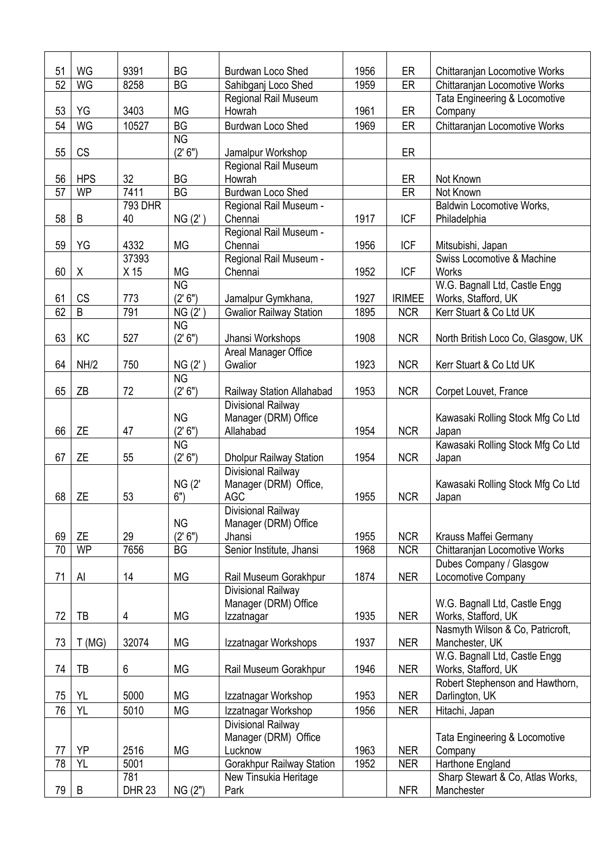| 51              | WG         | 9391          | <b>BG</b>              | Burdwan Loco Shed                         | 1956 | ER            | Chittaranjan Locomotive Works                   |
|-----------------|------------|---------------|------------------------|-------------------------------------------|------|---------------|-------------------------------------------------|
| 52              | WG         | 8258          | <b>BG</b>              | Sahibganj Loco Shed                       | 1959 | ER            | Chittaranjan Locomotive Works                   |
|                 |            |               |                        | Regional Rail Museum                      |      |               | Tata Engineering & Locomotive                   |
| 53              | YG         | 3403          | <b>MG</b>              | Howrah                                    | 1961 | ER            | Company                                         |
| 54              | <b>WG</b>  | 10527         | <b>BG</b>              | <b>Burdwan Loco Shed</b>                  | 1969 | ER            | Chittaranian Locomotive Works                   |
|                 |            |               | <b>NG</b>              |                                           |      |               |                                                 |
| 55              | CS         |               | (2' 6'')               | Jamalpur Workshop<br>Regional Rail Museum |      | ER            |                                                 |
| 56              | <b>HPS</b> | 32            | <b>BG</b>              | Howrah                                    |      | ER            | Not Known                                       |
| 57              | <b>WP</b>  | 7411          | BG                     | <b>Burdwan Loco Shed</b>                  |      | ER            | Not Known                                       |
|                 |            | 793 DHR       |                        | Regional Rail Museum -                    |      |               | Baldwin Locomotive Works,                       |
| 58              | B          | 40            | NG(2')                 | Chennai                                   | 1917 | <b>ICF</b>    | Philadelphia                                    |
|                 |            |               |                        | Regional Rail Museum -                    |      |               |                                                 |
| 59              | YG         | 4332          | <b>MG</b>              | Chennai                                   | 1956 | <b>ICF</b>    | Mitsubishi, Japan                               |
|                 |            | 37393         |                        | Regional Rail Museum -                    |      |               | Swiss Locomotive & Machine                      |
| 60              | Χ          | X 15          | <b>MG</b>              | Chennai                                   | 1952 | <b>ICF</b>    | <b>Works</b>                                    |
|                 |            |               | $\overline{\text{NG}}$ |                                           |      |               | W.G. Bagnall Ltd, Castle Engg                   |
| 61              | <b>CS</b>  | 773           | (2' 6'')               | Jamalpur Gymkhana,                        | 1927 | <b>IRIMEE</b> | Works, Stafford, UK                             |
| 62              | B          | 791           | NG(2')                 | <b>Gwalior Railway Station</b>            | 1895 | <b>NCR</b>    | Kerr Stuart & Co Ltd UK                         |
|                 |            |               | <b>NG</b>              |                                           | 1908 |               |                                                 |
| 63              | KC         | 527           | (2' 6'')               | Jhansi Workshops<br>Areal Manager Office  |      | <b>NCR</b>    | North British Loco Co, Glasgow, UK              |
| 64              | NH/2       | 750           | NG(2')                 | Gwalior                                   | 1923 | <b>NCR</b>    | Kerr Stuart & Co Ltd UK                         |
|                 |            |               | <b>NG</b>              |                                           |      |               |                                                 |
| 65              | ZB         | 72            | (2' 6'')               | Railway Station Allahabad                 | 1953 | <b>NCR</b>    | Corpet Louvet, France                           |
|                 |            |               |                        | Divisional Railway                        |      |               |                                                 |
|                 |            |               | <b>NG</b>              | Manager (DRM) Office                      |      |               | Kawasaki Rolling Stock Mfg Co Ltd               |
| 66              | <b>ZE</b>  | 47            | (2' 6'')               | Allahabad                                 | 1954 | <b>NCR</b>    | Japan                                           |
|                 |            |               | <b>NG</b>              |                                           |      |               | Kawasaki Rolling Stock Mfg Co Ltd               |
| 67              | <b>ZE</b>  | 55            | (2' 6'')               | <b>Dholpur Railway Station</b>            | 1954 | <b>NCR</b>    | Japan                                           |
|                 |            |               |                        | Divisional Railway                        |      |               |                                                 |
| 68              | <b>ZE</b>  | 53            | <b>NG (2'</b><br>6")   | Manager (DRM) Office,<br><b>AGC</b>       | 1955 | <b>NCR</b>    | Kawasaki Rolling Stock Mfg Co Ltd               |
|                 |            |               |                        | Divisional Railway                        |      |               | Japan                                           |
|                 |            |               | <b>NG</b>              | Manager (DRM) Office                      |      |               |                                                 |
| 69              | ZE         | 29            | (2' 6'')               | Jhansi                                    | 1955 | <b>NCR</b>    | Krauss Maffei Germany                           |
| 70              | <b>WP</b>  | 7656          | <b>BG</b>              | Senior Institute, Jhansi                  | 1968 | <b>NCR</b>    | Chittaranjan Locomotive Works                   |
|                 |            |               |                        |                                           |      |               | Dubes Company / Glasgow                         |
| 71              | Al         | 14            | MG                     | Rail Museum Gorakhpur                     | 1874 | <b>NER</b>    | Locomotive Company                              |
|                 |            |               |                        | Divisional Railway                        |      |               |                                                 |
|                 |            |               |                        | Manager (DRM) Office                      |      |               | W.G. Bagnall Ltd, Castle Engg                   |
| 72              | TB         | 4             | MG                     | Izzatnagar                                | 1935 | <b>NER</b>    | Works, Stafford, UK                             |
|                 |            |               |                        |                                           |      |               | Nasmyth Wilson & Co, Patricroft,                |
| 73              | T(MG)      | 32074         | MG                     | Izzatnagar Workshops                      | 1937 | <b>NER</b>    | Manchester, UK<br>W.G. Bagnall Ltd, Castle Engg |
| 74              | TB         | 6             | MG                     | Rail Museum Gorakhpur                     | 1946 | <b>NER</b>    | Works, Stafford, UK                             |
|                 |            |               |                        |                                           |      |               | Robert Stephenson and Hawthorn,                 |
| 75              | YL         | 5000          | MG                     | Izzatnagar Workshop                       | 1953 | <b>NER</b>    | Darlington, UK                                  |
| 76              | YL         | 5010          | MG                     | Izzatnagar Workshop                       | 1956 | <b>NER</b>    | Hitachi, Japan                                  |
|                 |            |               |                        | Divisional Railway                        |      |               |                                                 |
|                 |            |               |                        | Manager (DRM) Office                      |      |               | Tata Engineering & Locomotive                   |
| 77              | YP         | 2516          | MG                     | Lucknow                                   | 1963 | <b>NER</b>    | Company                                         |
| $\overline{78}$ | YL         | 5001          |                        | Gorakhpur Railway Station                 | 1952 | <b>NER</b>    | Harthone England                                |
|                 |            | 781           |                        | New Tinsukia Heritage                     |      |               | Sharp Stewart & Co, Atlas Works,                |
| 79              | B          | <b>DHR 23</b> | NG(2")                 | Park                                      |      | <b>NFR</b>    | Manchester                                      |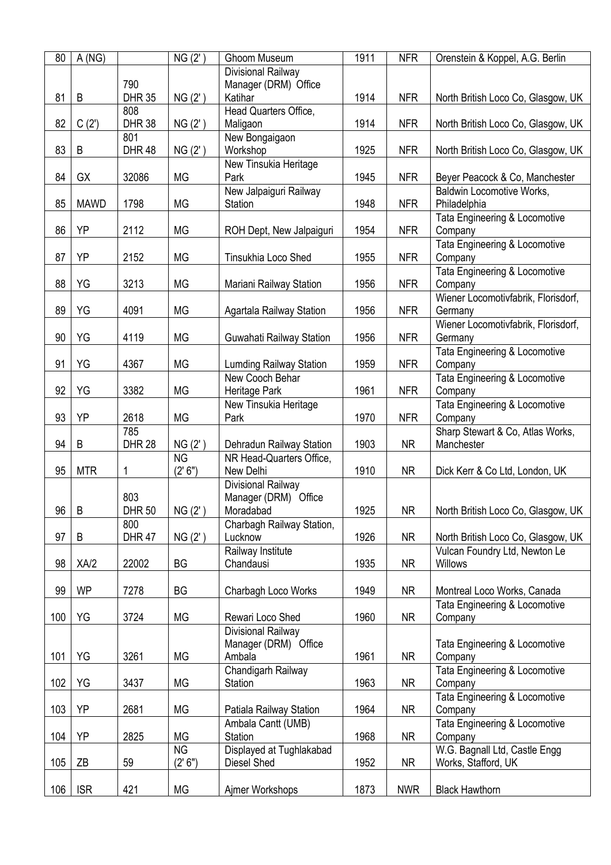| 80  | A(NG)       |               | NG(2')    | Ghoom Museum                   | 1911 | <b>NFR</b> | Orenstein & Koppel, A.G. Berlin     |
|-----|-------------|---------------|-----------|--------------------------------|------|------------|-------------------------------------|
|     |             |               |           | Divisional Railway             |      |            |                                     |
|     |             | 790           |           | Manager (DRM) Office           |      |            |                                     |
| 81  | $\sf B$     | <b>DHR 35</b> | NG(2')    | Katihar                        | 1914 | <b>NFR</b> | North British Loco Co, Glasgow, UK  |
|     |             | 808           |           | Head Quarters Office,          |      |            |                                     |
| 82  | C(2')       | <b>DHR 38</b> | NG(2')    | Maligaon                       | 1914 | <b>NFR</b> | North British Loco Co, Glasgow, UK  |
|     |             | 801           |           | New Bongaigaon                 |      |            |                                     |
| 83  | B           | <b>DHR 48</b> | NG(2')    | Workshop                       | 1925 | <b>NFR</b> | North British Loco Co, Glasgow, UK  |
|     |             |               |           | New Tinsukia Heritage          |      |            |                                     |
| 84  | GX          | 32086         | <b>MG</b> | Park                           | 1945 | <b>NFR</b> | Beyer Peacock & Co, Manchester      |
|     |             |               |           | New Jalpaiguri Railway         |      |            | Baldwin Locomotive Works,           |
| 85  | <b>MAWD</b> | 1798          | MG        | Station                        | 1948 | <b>NFR</b> | Philadelphia                        |
|     |             |               |           |                                |      |            | Tata Engineering & Locomotive       |
| 86  | YP          | 2112          | MG        | ROH Dept, New Jalpaiguri       | 1954 | <b>NFR</b> | Company                             |
|     |             |               |           |                                |      |            | Tata Engineering & Locomotive       |
| 87  | YP          | 2152          | MG        | Tinsukhia Loco Shed            | 1955 | <b>NFR</b> | Company                             |
|     |             |               |           |                                |      |            | Tata Engineering & Locomotive       |
| 88  | YG          | 3213          | <b>MG</b> | Mariani Railway Station        | 1956 | <b>NFR</b> | Company                             |
|     |             |               |           |                                |      |            | Wiener Locomotivfabrik, Florisdorf, |
| 89  | YG          | 4091          | MG        | Agartala Railway Station       | 1956 | <b>NFR</b> | Germany                             |
|     |             |               |           |                                |      |            | Wiener Locomotivfabrik, Florisdorf, |
| 90  | YG          | 4119          | <b>MG</b> | Guwahati Railway Station       | 1956 | <b>NFR</b> | Germany                             |
|     |             |               |           |                                |      |            | Tata Engineering & Locomotive       |
| 91  | YG          | 4367          | MG        | <b>Lumding Railway Station</b> | 1959 | <b>NFR</b> | Company                             |
|     |             |               |           | New Cooch Behar                |      |            | Tata Engineering & Locomotive       |
| 92  | YG          | 3382          | MG        | Heritage Park                  | 1961 | <b>NFR</b> | Company                             |
|     |             |               |           | New Tinsukia Heritage          |      |            | Tata Engineering & Locomotive       |
| 93  | YP          | 2618          | <b>MG</b> | Park                           | 1970 | <b>NFR</b> | Company                             |
|     |             | 785           |           |                                |      |            | Sharp Stewart & Co, Atlas Works,    |
| 94  | B           | <b>DHR 28</b> | NG(2')    | Dehradun Railway Station       | 1903 | <b>NR</b>  | Manchester                          |
|     |             |               | <b>NG</b> | NR Head-Quarters Office,       |      |            |                                     |
| 95  | <b>MTR</b>  | 1             | (2' 6")   | New Delhi                      | 1910 | <b>NR</b>  | Dick Kerr & Co Ltd, London, UK      |
|     |             |               |           | Divisional Railway             |      |            |                                     |
|     |             | 803           |           | Manager (DRM) Office           |      |            |                                     |
| 96  | $\sf B$     | <b>DHR 50</b> | NG(2')    | Moradabad                      | 1925 | <b>NR</b>  | North British Loco Co, Glasgow, UK  |
|     |             | 800           |           | Charbagh Railway Station,      |      |            |                                     |
| 97  | Β           | <b>DHR 47</b> | NG(2')    | Lucknow                        | 1926 | <b>NR</b>  | North British Loco Co, Glasgow, UK  |
|     |             |               |           | Railway Institute              |      |            | Vulcan Foundry Ltd, Newton Le       |
| 98  | XA/2        | 22002         | BG        | Chandausi                      | 1935 | <b>NR</b>  | Willows                             |
|     |             |               |           |                                |      |            |                                     |
| 99  | <b>WP</b>   | 7278          | BG        | Charbagh Loco Works            | 1949 | <b>NR</b>  | Montreal Loco Works, Canada         |
|     |             |               |           |                                |      |            | Tata Engineering & Locomotive       |
| 100 | YG          | 3724          | MG        | Rewari Loco Shed               | 1960 | <b>NR</b>  | Company                             |
|     |             |               |           | Divisional Railway             |      |            |                                     |
|     |             |               |           | Manager (DRM) Office           |      |            | Tata Engineering & Locomotive       |
| 101 | YG          | 3261          | MG        | Ambala                         | 1961 | <b>NR</b>  | Company                             |
|     |             |               |           | Chandigarh Railway             |      |            | Tata Engineering & Locomotive       |
| 102 | YG          | 3437          | MG        | Station                        | 1963 | <b>NR</b>  | Company                             |
|     |             |               |           |                                |      |            | Tata Engineering & Locomotive       |
| 103 | YP          | 2681          | МG        | Patiala Railway Station        | 1964 | <b>NR</b>  | Company                             |
|     |             |               |           | Ambala Cantt (UMB)             |      |            | Tata Engineering & Locomotive       |
| 104 | YP          | 2825          | MG        | Station                        | 1968 | <b>NR</b>  | Company                             |
|     |             |               | <b>NG</b> | Displayed at Tughlakabad       |      |            | W.G. Bagnall Ltd, Castle Engg       |
| 105 | ZB          | 59            | (2' 6'')  | Diesel Shed                    | 1952 | <b>NR</b>  | Works, Stafford, UK                 |
|     |             |               |           |                                |      |            |                                     |
| 106 | <b>ISR</b>  | 421           | MG        | Ajmer Workshops                | 1873 | <b>NWR</b> | <b>Black Hawthorn</b>               |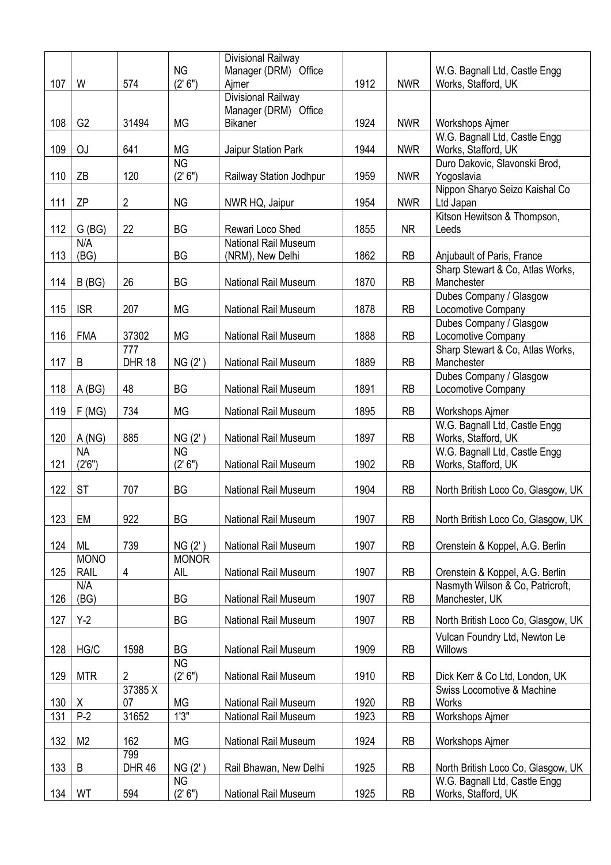|     |                |               |              | Divisional Railway                              |      |            |                                    |
|-----|----------------|---------------|--------------|-------------------------------------------------|------|------------|------------------------------------|
|     |                |               | <b>NG</b>    | Manager (DRM) Office                            |      |            | W.G. Bagnall Ltd, Castle Engg      |
| 107 | W              | 574           | (2' 6'')     | Aimer                                           | 1912 | <b>NWR</b> | Works, Stafford, UK                |
|     |                |               |              | Divisional Railway<br>Manager (DRM) Office      |      |            |                                    |
| 108 | G <sub>2</sub> | 31494         | <b>MG</b>    | <b>Bikaner</b>                                  | 1924 | <b>NWR</b> | Workshops Ajmer                    |
|     |                |               |              |                                                 |      |            | W.G. Bagnall Ltd, Castle Engg      |
| 109 | <b>OJ</b>      | 641           | <b>MG</b>    | Jaipur Station Park                             | 1944 | <b>NWR</b> | Works, Stafford, UK                |
|     |                |               | <b>NG</b>    |                                                 |      |            | Duro Dakovic, Slavonski Brod,      |
| 110 | ZB             | 120           | (2' 6'')     | Railway Station Jodhpur                         | 1959 | <b>NWR</b> | Yogoslavia                         |
|     |                |               |              |                                                 |      |            | Nippon Sharyo Seizo Kaishal Co     |
| 111 | <b>ZP</b>      | 2             | <b>NG</b>    | NWR HQ, Jaipur                                  | 1954 | <b>NWR</b> | Ltd Japan                          |
|     |                |               |              |                                                 |      |            | Kitson Hewitson & Thompson,        |
| 112 | G(BG)<br>N/A   | 22            | <b>BG</b>    | Rewari Loco Shed<br><b>National Rail Museum</b> | 1855 | <b>NR</b>  | Leeds                              |
| 113 | (BG)           |               | BG           | (NRM), New Delhi                                | 1862 | <b>RB</b>  | Anjubault of Paris, France         |
|     |                |               |              |                                                 |      |            | Sharp Stewart & Co, Atlas Works,   |
| 114 | B(BG)          | 26            | <b>BG</b>    | <b>National Rail Museum</b>                     | 1870 | <b>RB</b>  | Manchester                         |
|     |                |               |              |                                                 |      |            | Dubes Company / Glasgow            |
| 115 | <b>ISR</b>     | 207           | <b>MG</b>    | <b>National Rail Museum</b>                     | 1878 | <b>RB</b>  | Locomotive Company                 |
|     |                |               |              |                                                 |      |            | Dubes Company / Glasgow            |
| 116 | <b>FMA</b>     | 37302         | <b>MG</b>    | National Rail Museum                            | 1888 | <b>RB</b>  | Locomotive Company                 |
|     |                | 777           |              |                                                 |      |            | Sharp Stewart & Co, Atlas Works,   |
| 117 | B              | <b>DHR 18</b> | NG(2')       | <b>National Rail Museum</b>                     | 1889 | <b>RB</b>  | Manchester                         |
|     |                | 48            |              |                                                 |      |            | Dubes Company / Glasgow            |
| 118 | A(BG)          |               | <b>BG</b>    | <b>National Rail Museum</b>                     | 1891 | <b>RB</b>  | Locomotive Company                 |
| 119 | F(MG)          | 734           | <b>MG</b>    | <b>National Rail Museum</b>                     | 1895 | <b>RB</b>  | <b>Workshops Ajmer</b>             |
|     |                |               |              |                                                 |      |            | W.G. Bagnall Ltd, Castle Engg      |
| 120 | A(NG)          | 885           | NG(2')       | <b>National Rail Museum</b>                     | 1897 | <b>RB</b>  | Works, Stafford, UK                |
|     | <b>NA</b>      |               | <b>NG</b>    |                                                 |      |            | W.G. Bagnall Ltd, Castle Engg      |
| 121 | (2'6")         |               | (2' 6'')     | <b>National Rail Museum</b>                     | 1902 | <b>RB</b>  | Works, Stafford, UK                |
| 122 | <b>ST</b>      | 707           | <b>BG</b>    | <b>National Rail Museum</b>                     | 1904 | <b>RB</b>  | North British Loco Co, Glasgow, UK |
|     |                |               |              |                                                 |      |            |                                    |
| 123 | EM             | 922           | <b>BG</b>    | National Rail Museum                            | 1907 | <b>RB</b>  | North British Loco Co, Glasgow, UK |
|     |                |               |              |                                                 |      |            |                                    |
| 124 | ML             | 739           | NG(2')       | National Rail Museum                            | 1907 | <b>RB</b>  | Orenstein & Koppel, A.G. Berlin    |
|     | <b>MONO</b>    |               | <b>MONOR</b> |                                                 |      |            |                                    |
| 125 | <b>RAIL</b>    | 4             | AIL          | National Rail Museum                            | 1907 | <b>RB</b>  | Orenstein & Koppel, A.G. Berlin    |
|     | N/A            |               |              |                                                 |      |            | Nasmyth Wilson & Co, Patricroft,   |
| 126 | (BG)           |               | BG           | National Rail Museum                            | 1907 | <b>RB</b>  | Manchester, UK                     |
| 127 | $Y-2$          |               | BG           | National Rail Museum                            | 1907 | <b>RB</b>  | North British Loco Co, Glasgow, UK |
|     |                |               |              |                                                 |      |            | Vulcan Foundry Ltd, Newton Le      |
| 128 | HG/C           | 1598          | <b>BG</b>    | National Rail Museum                            | 1909 | <b>RB</b>  | <b>Willows</b>                     |
|     |                |               | <b>NG</b>    |                                                 |      |            |                                    |
| 129 | <b>MTR</b>     | 2             | (2' 6'')     | National Rail Museum                            | 1910 | <b>RB</b>  | Dick Kerr & Co Ltd, London, UK     |
|     |                | 37385 X       |              |                                                 |      |            | Swiss Locomotive & Machine         |
| 130 | X              | 07            | MG           | National Rail Museum                            | 1920 | <b>RB</b>  | <b>Works</b>                       |
| 131 | $P-2$          | 31652         | 1'3''        | National Rail Museum                            | 1923 | <b>RB</b>  | <b>Workshops Ajmer</b>             |
| 132 | M <sub>2</sub> | 162           | <b>MG</b>    | National Rail Museum                            | 1924 | <b>RB</b>  | Workshops Ajmer                    |
|     |                | 799           |              |                                                 |      |            |                                    |
| 133 | B              | <b>DHR 46</b> | NG(2')       | Rail Bhawan, New Delhi                          | 1925 | <b>RB</b>  | North British Loco Co, Glasgow, UK |
|     |                |               | <b>NG</b>    |                                                 |      |            | W.G. Bagnall Ltd, Castle Engg      |
| 134 | WT             | 594           | (2' 6'')     | National Rail Museum                            | 1925 | <b>RB</b>  | Works, Stafford, UK                |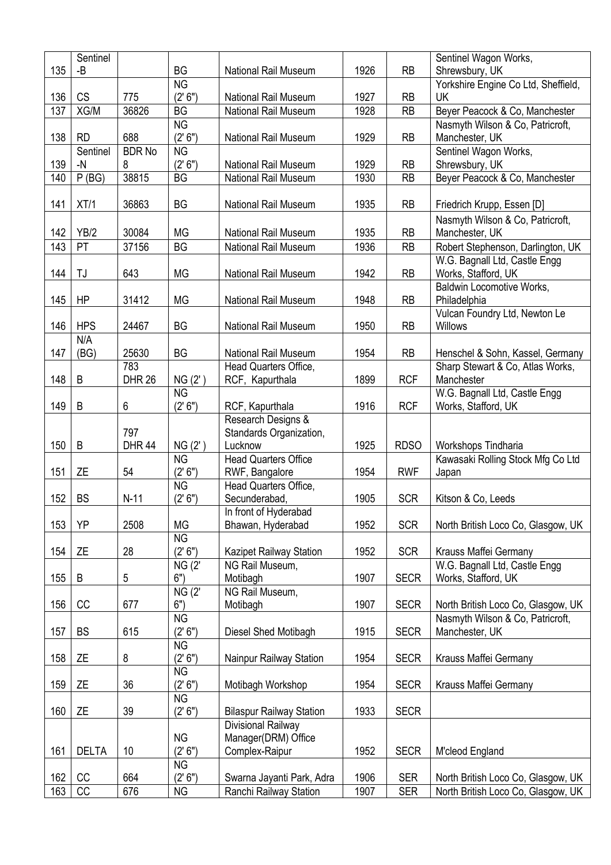|            | Sentinel              |               |                            |                                                     |              |                          | Sentinel Wagon Works,                                                    |
|------------|-----------------------|---------------|----------------------------|-----------------------------------------------------|--------------|--------------------------|--------------------------------------------------------------------------|
| 135        | -B                    |               | <b>BG</b>                  | <b>National Rail Museum</b>                         | 1926         | <b>RB</b>                | Shrewsbury, UK                                                           |
|            |                       |               | <b>NG</b>                  |                                                     |              |                          | Yorkshire Engine Co Ltd, Sheffield,                                      |
| 136        | <b>CS</b>             | 775           | (2' 6")                    | <b>National Rail Museum</b>                         | 1927         | <b>RB</b>                | UK                                                                       |
| 137        | XG/M                  | 36826         | <b>BG</b>                  | National Rail Museum                                | 1928         | <b>RB</b>                | Beyer Peacock & Co, Manchester                                           |
|            |                       |               | <b>NG</b>                  |                                                     |              |                          | Nasmyth Wilson & Co, Patricroft,                                         |
| 138        | <b>RD</b>             | 688           | (2' 6")                    | <b>National Rail Museum</b>                         | 1929         | <b>RB</b>                | Manchester, UK                                                           |
|            | Sentinel              | <b>BDR No</b> | <b>NG</b>                  |                                                     |              |                          | Sentinel Wagon Works,                                                    |
| 139        | $-N$                  | 8             | (2' 6'')                   | National Rail Museum                                | 1929         | RB                       | Shrewsbury, UK                                                           |
| 140        | P(BG)                 | 38815         | <b>BG</b>                  | National Rail Museum                                | 1930         | RB                       | Beyer Peacock & Co, Manchester                                           |
| 141        | XT/1                  | 36863         | <b>BG</b>                  | <b>National Rail Museum</b>                         | 1935         | <b>RB</b>                |                                                                          |
|            |                       |               |                            |                                                     |              |                          | Friedrich Krupp, Essen [D]                                               |
|            |                       |               | <b>MG</b>                  |                                                     |              |                          | Nasmyth Wilson & Co, Patricroft,                                         |
| 142        | YB/2                  | 30084         |                            | <b>National Rail Museum</b>                         | 1935         | <b>RB</b>                | Manchester, UK                                                           |
| 143        | PT                    | 37156         | <b>BG</b>                  | National Rail Museum                                | 1936         | <b>RB</b>                | Robert Stephenson, Darlington, UK                                        |
| 144        | TJ                    |               | <b>MG</b>                  |                                                     |              |                          | W.G. Bagnall Ltd, Castle Engg                                            |
|            |                       | 643           |                            | National Rail Museum                                | 1942         | <b>RB</b>                | Works, Stafford, UK<br><b>Baldwin Locomotive Works,</b>                  |
| 145        | ΗP                    | 31412         | <b>MG</b>                  | National Rail Museum                                | 1948         | <b>RB</b>                | Philadelphia                                                             |
|            |                       |               |                            |                                                     |              |                          | Vulcan Foundry Ltd, Newton Le                                            |
| 146        | <b>HPS</b>            | 24467         | <b>BG</b>                  | <b>National Rail Museum</b>                         | 1950         | <b>RB</b>                | <b>Willows</b>                                                           |
|            | N/A                   |               |                            |                                                     |              |                          |                                                                          |
| 147        | (BG)                  | 25630         | BG                         | <b>National Rail Museum</b>                         | 1954         | <b>RB</b>                | Henschel & Sohn, Kassel, Germany                                         |
|            |                       | 783           |                            | Head Quarters Office,                               |              |                          | Sharp Stewart & Co, Atlas Works,                                         |
| 148        | B                     | <b>DHR 26</b> | NG(2')                     | RCF, Kapurthala                                     | 1899         | <b>RCF</b>               | Manchester                                                               |
|            |                       |               | <b>NG</b>                  |                                                     |              |                          | W.G. Bagnall Ltd, Castle Engg                                            |
| 149        | B                     | 6             | (2' 6'')                   | RCF, Kapurthala                                     | 1916         | <b>RCF</b>               | Works, Stafford, UK                                                      |
|            |                       |               |                            | Research Designs &                                  |              |                          |                                                                          |
|            |                       | 797           |                            |                                                     |              |                          |                                                                          |
|            |                       |               |                            |                                                     |              |                          |                                                                          |
|            |                       |               |                            | Standards Organization,                             |              |                          |                                                                          |
| 150        | $\sf B$               | <b>DHR 44</b> | NG(2')<br><b>NG</b>        | Lucknow<br><b>Head Quarters Office</b>              | 1925         | <b>RDSO</b>              | Workshops Tindharia                                                      |
| 151        | <b>ZE</b>             | 54            | (2' 6'')                   |                                                     | 1954         | <b>RWF</b>               | Kawasaki Rolling Stock Mfg Co Ltd                                        |
|            |                       |               | <b>NG</b>                  | RWF, Bangalore<br>Head Quarters Office,             |              |                          | Japan                                                                    |
| 152        | <b>BS</b>             | $N-11$        | (2' 6'')                   | Secunderabad,                                       | 1905         | <b>SCR</b>               | Kitson & Co, Leeds                                                       |
|            |                       |               |                            | In front of Hyderabad                               |              |                          |                                                                          |
| 153        | YP                    | 2508          | <b>MG</b>                  | Bhawan, Hyderabad                                   | 1952         | <b>SCR</b>               | North British Loco Co, Glasgow, UK                                       |
|            |                       |               | <b>NG</b>                  |                                                     |              |                          |                                                                          |
| 154        | ΖE                    | 28            | (2' 6'')                   | Kazipet Railway Station                             | 1952         | <b>SCR</b>               | Krauss Maffei Germany                                                    |
|            |                       |               | <b>NG (2'</b>              | NG Rail Museum,                                     |              |                          | W.G. Bagnall Ltd, Castle Engg                                            |
| 155        | B                     | 5             | 6")                        | Motibagh                                            | 1907         | <b>SECR</b>              | Works, Stafford, UK                                                      |
|            |                       |               | $\overline{\text{NG (2)}}$ | NG Rail Museum,                                     |              |                          |                                                                          |
| 156        | CC                    | 677           | 6")                        | Motibagh                                            | 1907         | <b>SECR</b>              | North British Loco Co, Glasgow, UK                                       |
|            |                       |               | <b>NG</b>                  |                                                     |              |                          | Nasmyth Wilson & Co, Patricroft,                                         |
| 157        | <b>BS</b>             | 615           | (2' 6'')                   | Diesel Shed Motibagh                                | 1915         | <b>SECR</b>              | Manchester, UK                                                           |
|            |                       |               | <b>NG</b>                  |                                                     |              |                          |                                                                          |
| 158        | ΖE                    | 8             | (2' 6'')                   | Nainpur Railway Station                             | 1954         | <b>SECR</b>              | Krauss Maffei Germany                                                    |
|            |                       |               | <b>NG</b>                  |                                                     |              |                          |                                                                          |
| 159        | ΖE                    | 36            | (2' 6'')                   | Motibagh Workshop                                   | 1954         | <b>SECR</b>              | Krauss Maffei Germany                                                    |
|            |                       |               | <b>NG</b>                  |                                                     |              |                          |                                                                          |
| 160        | <b>ZE</b>             | 39            | (2' 6")                    | <b>Bilaspur Railway Station</b>                     | 1933         | <b>SECR</b>              |                                                                          |
|            |                       |               |                            | Divisional Railway                                  |              |                          |                                                                          |
|            |                       |               | <b>NG</b>                  | Manager(DRM) Office                                 |              |                          |                                                                          |
| 161        | <b>DELTA</b>          | 10            | (2' 6")                    | Complex-Raipur                                      | 1952         | <b>SECR</b>              | M'cleod England                                                          |
|            |                       |               | <b>NG</b>                  |                                                     |              |                          |                                                                          |
| 162<br>163 | CC<br>$\overline{CC}$ | 664<br>676    | (2' 6'')<br><b>NG</b>      | Swarna Jayanti Park, Adra<br>Ranchi Railway Station | 1906<br>1907 | <b>SER</b><br><b>SER</b> | North British Loco Co, Glasgow, UK<br>North British Loco Co, Glasgow, UK |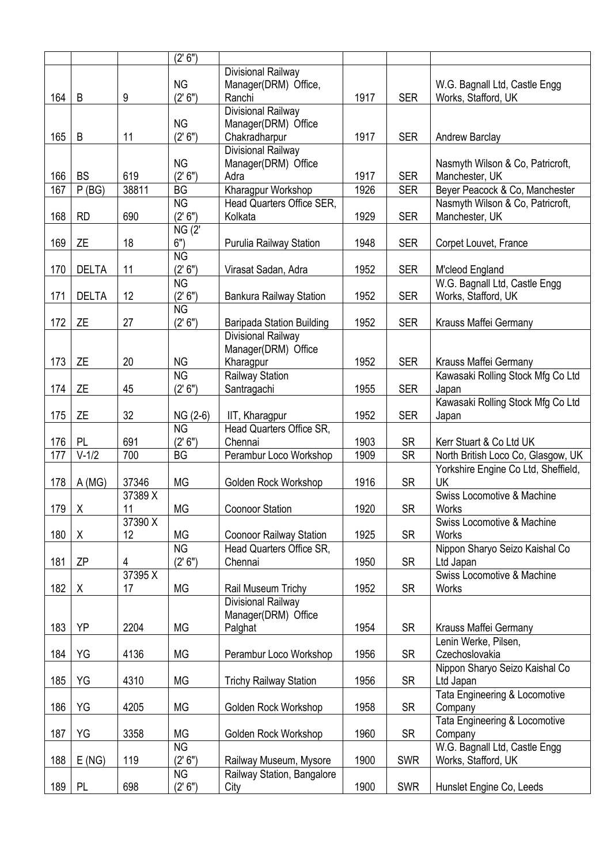|       |              |         | (2' 6'')              |                                    |      |            |                                     |
|-------|--------------|---------|-----------------------|------------------------------------|------|------------|-------------------------------------|
|       |              |         |                       | Divisional Railway                 |      |            |                                     |
|       |              |         | <b>NG</b>             | Manager(DRM) Office,               |      |            | W.G. Bagnall Ltd, Castle Engg       |
| 164   | $\sf B$      | 9       | (2' 6'')              | Ranchi                             | 1917 | <b>SER</b> | Works, Stafford, UK                 |
|       |              |         |                       | Divisional Railway                 |      |            |                                     |
|       |              |         | <b>NG</b>             | Manager(DRM) Office                |      |            |                                     |
| 165   | $\sf B$      | 11      | (2' 6")               | Chakradharpur                      | 1917 | <b>SER</b> | Andrew Barclay                      |
|       |              |         |                       | Divisional Railway                 |      |            |                                     |
|       |              |         |                       |                                    |      |            |                                     |
|       |              |         | <b>NG</b><br>(2' 6'') | Manager(DRM) Office                |      |            | Nasmyth Wilson & Co, Patricroft,    |
| 166   | <b>BS</b>    | 619     |                       | Adra                               | 1917 | <b>SER</b> | Manchester, UK                      |
| 167   | P(BG)        | 38811   | <b>BG</b>             | Kharagpur Workshop                 | 1926 | <b>SER</b> | Beyer Peacock & Co, Manchester      |
|       |              |         | <b>NG</b>             | Head Quarters Office SER,          |      |            | Nasmyth Wilson & Co, Patricroft,    |
| 168   | <b>RD</b>    | 690     | (2' 6'')              | Kolkata                            | 1929 | <b>SER</b> | Manchester, UK                      |
|       |              |         | <b>NG (2'</b>         |                                    |      |            |                                     |
| 169   | ZE           | 18      | 6")                   | Purulia Railway Station            | 1948 | <b>SER</b> | Corpet Louvet, France               |
|       |              |         | <b>NG</b>             |                                    |      |            |                                     |
| 170   | <b>DELTA</b> | 11      | (2' 6'')              | Virasat Sadan, Adra                | 1952 | <b>SER</b> | M'cleod England                     |
|       |              |         | <b>NG</b>             |                                    |      |            | W.G. Bagnall Ltd, Castle Engg       |
| 171   | <b>DELTA</b> | 12      | (2' 6'')              | <b>Bankura Railway Station</b>     | 1952 | <b>SER</b> | Works, Stafford, UK                 |
|       |              |         | <b>NG</b>             |                                    |      |            |                                     |
| 172   | ZE           | 27      | (2' 6")               | <b>Baripada Station Building</b>   | 1952 | <b>SER</b> | Krauss Maffei Germany               |
|       |              |         |                       | Divisional Railway                 |      |            |                                     |
|       |              |         |                       | Manager(DRM) Office                |      |            |                                     |
| 173   | <b>ZE</b>    | 20      | <b>NG</b>             | Kharagpur                          | 1952 | <b>SER</b> | Krauss Maffei Germany               |
|       |              |         | <b>NG</b>             | Railway Station                    |      |            | Kawasaki Rolling Stock Mfg Co Ltd   |
| 174   | ΖE           | 45      | (2' 6'')              | Santragachi                        | 1955 | <b>SER</b> | Japan                               |
|       |              |         |                       |                                    |      |            | Kawasaki Rolling Stock Mfg Co Ltd   |
| 175   | ΖE           | 32      | NG (2-6)              | IIT, Kharagpur                     | 1952 | <b>SER</b> | Japan                               |
|       |              |         | <b>NG</b>             | Head Quarters Office SR,           |      |            |                                     |
| 176   | PL           | 691     | (2' 6")               | Chennai                            | 1903 | <b>SR</b>  | Kerr Stuart & Co Ltd UK             |
| 177   | $V-1/2$      |         |                       | Perambur Loco Workshop             |      |            | North British Loco Co, Glasgow, UK  |
|       |              |         |                       |                                    |      |            |                                     |
|       |              | 700     | <b>BG</b>             |                                    | 1909 | <b>SR</b>  |                                     |
|       |              |         |                       |                                    |      |            | Yorkshire Engine Co Ltd, Sheffield, |
| 178   | A(MG)        | 37346   | <b>MG</b>             | Golden Rock Workshop               | 1916 | <b>SR</b>  | UK                                  |
|       |              | 37389 X |                       |                                    |      |            | Swiss Locomotive & Machine          |
| 179 X |              | 11      | MG                    | Coonoor Station                    | 1920 | <b>SR</b>  | Works                               |
|       |              | 37390 X |                       |                                    |      |            | Swiss Locomotive & Machine          |
| 180   | X            | 12      | MG                    | <b>Coonoor Railway Station</b>     | 1925 | <b>SR</b>  | Works                               |
|       |              |         | <b>NG</b>             | Head Quarters Office SR,           |      |            | Nippon Sharyo Seizo Kaishal Co      |
| 181   | <b>ZP</b>    | 4       | (2' 6")               | Chennai                            | 1950 | <b>SR</b>  | Ltd Japan                           |
|       |              | 37395 X |                       |                                    |      |            | Swiss Locomotive & Machine          |
| 182   | X            | 17      | MG                    | Rail Museum Trichy                 | 1952 | <b>SR</b>  | Works                               |
|       |              |         |                       | Divisional Railway                 |      |            |                                     |
|       |              |         |                       | Manager(DRM) Office                |      |            |                                     |
| 183   | YP           | 2204    | MG                    | Palghat                            | 1954 | <b>SR</b>  | Krauss Maffei Germany               |
|       |              |         |                       |                                    |      |            | Lenin Werke, Pilsen,                |
| 184   | YG           | 4136    | MG                    | Perambur Loco Workshop             | 1956 | <b>SR</b>  | Czechoslovakia                      |
|       |              |         |                       |                                    |      |            | Nippon Sharyo Seizo Kaishal Co      |
| 185   | YG           | 4310    | МG                    | <b>Trichy Railway Station</b>      | 1956 | <b>SR</b>  | Ltd Japan                           |
|       |              |         |                       |                                    |      |            | Tata Engineering & Locomotive       |
| 186   | YG           | 4205    | MG                    | Golden Rock Workshop               | 1958 | <b>SR</b>  | Company                             |
|       |              |         |                       |                                    |      |            | Tata Engineering & Locomotive       |
| 187   | YG           | 3358    | <b>MG</b>             | Golden Rock Workshop               | 1960 | <b>SR</b>  | Company                             |
|       |              |         | <b>NG</b>             |                                    |      |            | W.G. Bagnall Ltd, Castle Engg       |
| 188   | E(NG)        | 119     | (2' 6'')              | Railway Museum, Mysore             | 1900 | <b>SWR</b> | Works, Stafford, UK                 |
|       |              |         | <b>NG</b>             |                                    |      |            |                                     |
| 189   | <b>PL</b>    | 698     | (2' 6'')              | Railway Station, Bangalore<br>City | 1900 | <b>SWR</b> | Hunslet Engine Co, Leeds            |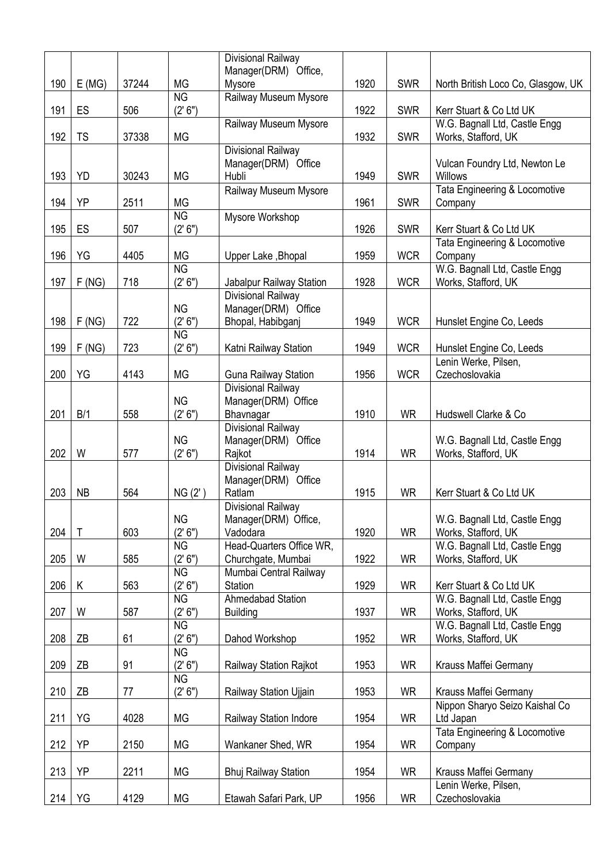|     |             |       |                       | Divisional Railway                                |      |            |                                                      |
|-----|-------------|-------|-----------------------|---------------------------------------------------|------|------------|------------------------------------------------------|
|     |             |       |                       | Manager(DRM) Office,                              |      |            |                                                      |
| 190 | E(MG)       | 37244 | MG                    | Mysore                                            | 1920 | <b>SWR</b> | North British Loco Co, Glasgow, UK                   |
| 191 | ES          | 506   | <b>NG</b><br>(2' 6'') | Railway Museum Mysore                             | 1922 | <b>SWR</b> | Kerr Stuart & Co Ltd UK                              |
|     |             |       |                       | Railway Museum Mysore                             |      |            | W.G. Bagnall Ltd, Castle Engg                        |
| 192 | <b>TS</b>   | 37338 | <b>MG</b>             |                                                   | 1932 | <b>SWR</b> | Works, Stafford, UK                                  |
|     |             |       |                       | Divisional Railway                                |      |            |                                                      |
|     |             |       |                       | Manager(DRM) Office                               |      |            | Vulcan Foundry Ltd, Newton Le                        |
| 193 | YD          | 30243 | <b>MG</b>             | Hubli                                             | 1949 | <b>SWR</b> | Willows                                              |
|     |             |       |                       | Railway Museum Mysore                             |      |            | Tata Engineering & Locomotive                        |
| 194 | YP          | 2511  | MG                    |                                                   | 1961 | <b>SWR</b> | Company                                              |
| 195 | ES          | 507   | <b>NG</b><br>(2' 6'') | Mysore Workshop                                   | 1926 | <b>SWR</b> | Kerr Stuart & Co Ltd UK                              |
|     |             |       |                       |                                                   |      |            | Tata Engineering & Locomotive                        |
| 196 | YG          | 4405  | <b>MG</b>             | Upper Lake, Bhopal                                | 1959 | <b>WCR</b> | Company                                              |
|     |             |       | <b>NG</b>             |                                                   |      |            | W.G. Bagnall Ltd, Castle Engg                        |
| 197 | F(NG)       | 718   | (2' 6")               | Jabalpur Railway Station                          | 1928 | <b>WCR</b> | Works, Stafford, UK                                  |
|     |             |       |                       | Divisional Railway                                |      |            |                                                      |
|     |             |       | <b>NG</b>             | Manager(DRM) Office                               |      |            |                                                      |
| 198 | F(NG)       | 722   | (2' 6'')              | Bhopal, Habibganj                                 | 1949 | <b>WCR</b> | Hunslet Engine Co, Leeds                             |
|     |             |       | <b>NG</b>             |                                                   |      |            |                                                      |
| 199 | F(NG)       | 723   | (2' 6'')              | Katni Railway Station                             | 1949 | <b>WCR</b> | Hunslet Engine Co, Leeds                             |
|     |             |       |                       |                                                   |      |            | Lenin Werke, Pilsen,                                 |
| 200 | YG          | 4143  | MG                    | <b>Guna Railway Station</b><br>Divisional Railway | 1956 | <b>WCR</b> | Czechoslovakia                                       |
|     |             |       | <b>NG</b>             | Manager(DRM) Office                               |      |            |                                                      |
| 201 | B/1         | 558   | (2' 6'')              | Bhavnagar                                         | 1910 | <b>WR</b>  | Hudswell Clarke & Co                                 |
|     |             |       |                       | Divisional Railway                                |      |            |                                                      |
|     |             |       | <b>NG</b>             | Manager(DRM) Office                               |      |            | W.G. Bagnall Ltd, Castle Engg                        |
| 202 | W           | 577   | (2' 6")               | Rajkot                                            | 1914 | <b>WR</b>  | Works, Stafford, UK                                  |
|     |             |       |                       | Divisional Railway                                |      |            |                                                      |
|     |             |       |                       | Manager(DRM) Office                               |      |            |                                                      |
| 203 | <b>NB</b>   | 564   | NG(2')                | Ratlam                                            | 1915 | <b>WR</b>  | Kerr Stuart & Co Ltd UK                              |
|     |             |       | <b>NG</b>             | Divisional Railway                                |      |            |                                                      |
| 204 | $\mathsf T$ | 603   | (2' 6'')              | Manager(DRM) Office,<br>Vadodara                  | 1920 | <b>WR</b>  | W.G. Bagnall Ltd, Castle Engg<br>Works, Stafford, UK |
|     |             |       | <b>NG</b>             | Head-Quarters Office WR,                          |      |            | W.G. Bagnall Ltd, Castle Engg                        |
| 205 | W           | 585   | (2' 6'')              | Churchgate, Mumbai                                | 1922 | <b>WR</b>  | Works, Stafford, UK                                  |
|     |             |       | <b>NG</b>             | Mumbai Central Railway                            |      |            |                                                      |
| 206 | Κ           | 563   | (2' 6'')              | <b>Station</b>                                    | 1929 | <b>WR</b>  | Kerr Stuart & Co Ltd UK                              |
|     |             |       | <b>NG</b>             | Ahmedabad Station                                 |      |            | W.G. Bagnall Ltd, Castle Engg                        |
| 207 | W           | 587   | (2' 6'')              | <b>Building</b>                                   | 1937 | <b>WR</b>  | Works, Stafford, UK                                  |
|     |             |       | <b>NG</b>             |                                                   |      |            | W.G. Bagnall Ltd, Castle Engg                        |
| 208 | ZB          | 61    | (2' 6")               | Dahod Workshop                                    | 1952 | <b>WR</b>  | Works, Stafford, UK                                  |
|     |             |       | <b>NG</b>             |                                                   |      |            |                                                      |
| 209 | ZB          | 91    | (2' 6")<br><b>NG</b>  | Railway Station Rajkot                            | 1953 | <b>WR</b>  | Krauss Maffei Germany                                |
| 210 | ΖB          | 77    | (2' 6'')              | Railway Station Ujjain                            | 1953 | WR         | Krauss Maffei Germany                                |
|     |             |       |                       |                                                   |      |            | Nippon Sharyo Seizo Kaishal Co                       |
| 211 | YG          | 4028  | MG                    | Railway Station Indore                            | 1954 | <b>WR</b>  | Ltd Japan                                            |
|     |             |       |                       |                                                   |      |            | Tata Engineering & Locomotive                        |
| 212 | YP          | 2150  | MG                    | Wankaner Shed, WR                                 | 1954 | <b>WR</b>  | Company                                              |
|     |             |       |                       |                                                   |      |            |                                                      |
| 213 | YP          | 2211  | MG                    | <b>Bhuj Railway Station</b>                       | 1954 | <b>WR</b>  | Krauss Maffei Germany                                |
|     |             |       |                       |                                                   |      |            | Lenin Werke, Pilsen,                                 |
| 214 | YG          | 4129  | MG                    | Etawah Safari Park, UP                            | 1956 | <b>WR</b>  | Czechoslovakia                                       |